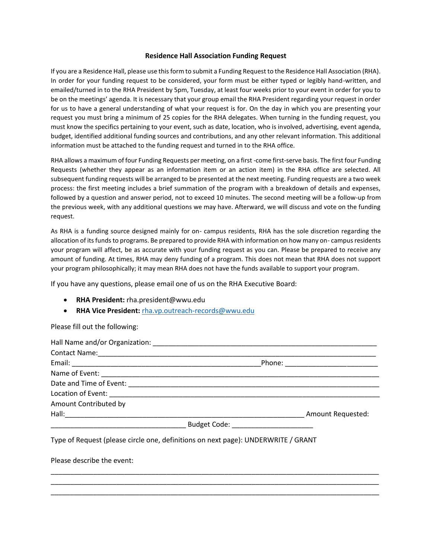## **Residence Hall Association Funding Request**

If you are a Residence Hall, please use this form to submit a Funding Request to the Residence Hall Association (RHA). In order for your funding request to be considered, your form must be either typed or legibly hand-written, and emailed/turned in to the RHA President by 5pm, Tuesday, at least four weeks prior to your event in order for you to be on the meetings' agenda. It is necessary that your group email the RHA President regarding your request in order for us to have a general understanding of what your request is for. On the day in which you are presenting your request you must bring a minimum of 25 copies for the RHA delegates. When turning in the funding request, you must know the specifics pertaining to your event, such as date, location, who is involved, advertising, event agenda, budget, identified additional funding sources and contributions, and any other relevant information. This additional information must be attached to the funding request and turned in to the RHA office.

RHA allows a maximum of four Funding Requests per meeting, on a first -come first-serve basis. The first four Funding Requests (whether they appear as an information item or an action item) in the RHA office are selected. All subsequent funding requests will be arranged to be presented at the next meeting. Funding requests are a two week process: the first meeting includes a brief summation of the program with a breakdown of details and expenses, followed by a question and answer period, not to exceed 10 minutes. The second meeting will be a follow-up from the previous week, with any additional questions we may have. Afterward, we will discuss and vote on the funding request.

As RHA is a funding source designed mainly for on- campus residents, RHA has the sole discretion regarding the allocation of its funds to programs. Be prepared to provide RHA with information on how many on- campus residents your program will affect, be as accurate with your funding request as you can. Please be prepared to receive any amount of funding. At times, RHA may deny funding of a program. This does not mean that RHA does not support your program philosophically; it may mean RHA does not have the funds available to support your program.

If you have any questions, please email one of us on the RHA Executive Board:

- **RHA President:** rha.president@wwu.edu
- **RHA Vice President:** [rha.vp.outreach-records@wwu.edu](mailto:rha.vp.outreach-records@wwu.edu)

Please fill out the following:

|                                      | Phone: ___________________________ |
|--------------------------------------|------------------------------------|
|                                      |                                    |
|                                      |                                    |
|                                      |                                    |
| Amount Contributed by                |                                    |
|                                      | <b>Amount Requested:</b>           |
| Budget Code: _______________________ |                                    |

\_\_\_\_\_\_\_\_\_\_\_\_\_\_\_\_\_\_\_\_\_\_\_\_\_\_\_\_\_\_\_\_\_\_\_\_\_\_\_\_\_\_\_\_\_\_\_\_\_\_\_\_\_\_\_\_\_\_\_\_\_\_\_\_\_\_\_\_\_\_\_\_\_\_\_\_\_\_\_\_\_\_\_\_\_ \_\_\_\_\_\_\_\_\_\_\_\_\_\_\_\_\_\_\_\_\_\_\_\_\_\_\_\_\_\_\_\_\_\_\_\_\_\_\_\_\_\_\_\_\_\_\_\_\_\_\_\_\_\_\_\_\_\_\_\_\_\_\_\_\_\_\_\_\_\_\_\_\_\_\_\_\_\_\_\_\_\_\_\_\_ \_\_\_\_\_\_\_\_\_\_\_\_\_\_\_\_\_\_\_\_\_\_\_\_\_\_\_\_\_\_\_\_\_\_\_\_\_\_\_\_\_\_\_\_\_\_\_\_\_\_\_\_\_\_\_\_\_\_\_\_\_\_\_\_\_\_\_\_\_\_\_\_\_\_\_\_\_\_\_\_\_\_\_\_\_

Type of Request (please circle one, definitions on next page): UNDERWRITE / GRANT

Please describe the event: